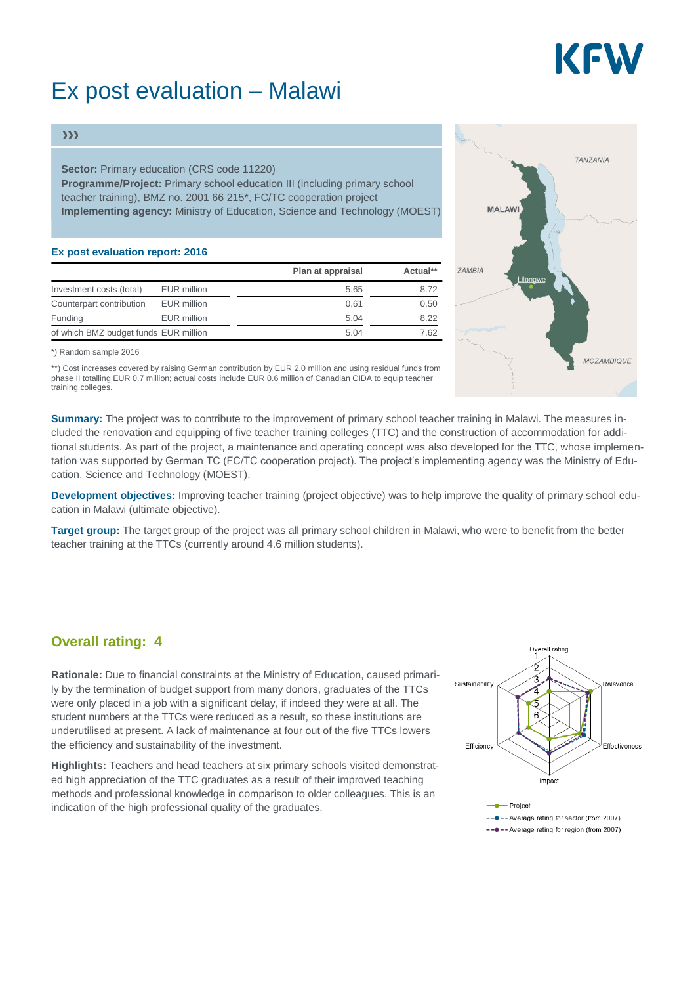# KEV

## Ex post evaluation – Malawi

#### $\gg$

**Sector:** Primary education (CRS code 11220) **Programme/Project:** Primary school education III (including primary school teacher training), BMZ no. 2001 66 215\*, FC/TC cooperation project **Implementing agency:** Ministry of Education, Science and Technology (MOEST)

#### **Ex post evaluation report: 2016**

|                                       |             | Plan at appraisal | Actual** |
|---------------------------------------|-------------|-------------------|----------|
| Investment costs (total)              | EUR million | 5.65              | 8.72     |
| Counterpart contribution              | EUR million | 0.61              | 0.50     |
| Funding                               | EUR million | 5.04              | 8.22     |
| of which BMZ budget funds EUR million |             | 5.04              | 7.62     |

\*) Random sample 2016

\*\*) Cost increases covered by raising German contribution by EUR 2.0 million and using residual funds from phase II totalling EUR 0.7 million; actual costs include EUR 0.6 million of Canadian CIDA to equip teacher training colleges.

**Summary:** The project was to contribute to the improvement of primary school teacher training in Malawi. The measures included the renovation and equipping of five teacher training colleges (TTC) and the construction of accommodation for additional students. As part of the project, a maintenance and operating concept was also developed for the TTC, whose implementation was supported by German TC (FC/TC cooperation project). The project's implementing agency was the Ministry of Education, Science and Technology (MOEST).

**Development objectives:** Improving teacher training (project objective) was to help improve the quality of primary school education in Malawi (ultimate objective).

**Target group:** The target group of the project was all primary school children in Malawi, who were to benefit from the better teacher training at the TTCs (currently around 4.6 million students).

### **Overall rating: 4**

**Rationale:** Due to financial constraints at the Ministry of Education, caused primarily by the termination of budget support from many donors, graduates of the TTCs were only placed in a job with a significant delay, if indeed they were at all. The student numbers at the TTCs were reduced as a result, so these institutions are underutilised at present. A lack of maintenance at four out of the five TTCs lowers the efficiency and sustainability of the investment.

**Highlights:** Teachers and head teachers at six primary schools visited demonstrated high appreciation of the TTC graduates as a result of their improved teaching methods and professional knowledge in comparison to older colleagues. This is an indication of the high professional quality of the graduates.





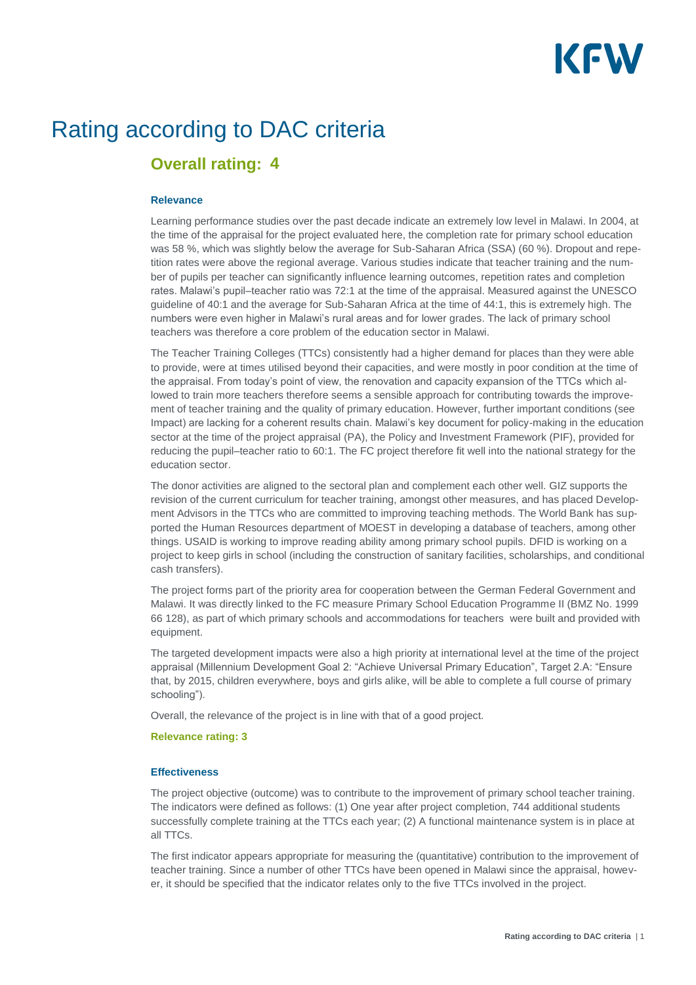# KFW

## Rating according to DAC criteria

### **Overall rating: 4**

#### **Relevance**

Learning performance studies over the past decade indicate an extremely low level in Malawi. In 2004, at the time of the appraisal for the project evaluated here, the completion rate for primary school education was 58 %, which was slightly below the average for Sub-Saharan Africa (SSA) (60 %). Dropout and repetition rates were above the regional average. Various studies indicate that teacher training and the number of pupils per teacher can significantly influence learning outcomes, repetition rates and completion rates. Malawi's pupil–teacher ratio was 72:1 at the time of the appraisal. Measured against the UNESCO guideline of 40:1 and the average for Sub-Saharan Africa at the time of 44:1, this is extremely high. The numbers were even higher in Malawi's rural areas and for lower grades. The lack of primary school teachers was therefore a core problem of the education sector in Malawi.

The Teacher Training Colleges (TTCs) consistently had a higher demand for places than they were able to provide, were at times utilised beyond their capacities, and were mostly in poor condition at the time of the appraisal. From today's point of view, the renovation and capacity expansion of the TTCs which allowed to train more teachers therefore seems a sensible approach for contributing towards the improvement of teacher training and the quality of primary education. However, further important conditions (see Impact) are lacking for a coherent results chain. Malawi's key document for policy-making in the education sector at the time of the project appraisal (PA), the Policy and Investment Framework (PIF), provided for reducing the pupil–teacher ratio to 60:1. The FC project therefore fit well into the national strategy for the education sector.

The donor activities are aligned to the sectoral plan and complement each other well. GIZ supports the revision of the current curriculum for teacher training, amongst other measures, and has placed Development Advisors in the TTCs who are committed to improving teaching methods. The World Bank has supported the Human Resources department of MOEST in developing a database of teachers, among other things. USAID is working to improve reading ability among primary school pupils. DFID is working on a project to keep girls in school (including the construction of sanitary facilities, scholarships, and conditional cash transfers).

The project forms part of the priority area for cooperation between the German Federal Government and Malawi. It was directly linked to the FC measure Primary School Education Programme II (BMZ No. 1999 66 128), as part of which primary schools and accommodations for teachers were built and provided with equipment.

The targeted development impacts were also a high priority at international level at the time of the project appraisal (Millennium Development Goal 2: "Achieve Universal Primary Education", Target 2.A: "Ensure that, by 2015, children everywhere, boys and girls alike, will be able to complete a full course of primary schooling").

Overall, the relevance of the project is in line with that of a good project.

#### **Relevance rating: 3**

#### **Effectiveness**

The project objective (outcome) was to contribute to the improvement of primary school teacher training. The indicators were defined as follows: (1) One year after project completion, 744 additional students successfully complete training at the TTCs each year; (2) A functional maintenance system is in place at all TTCs.

The first indicator appears appropriate for measuring the (quantitative) contribution to the improvement of teacher training. Since a number of other TTCs have been opened in Malawi since the appraisal, however, it should be specified that the indicator relates only to the five TTCs involved in the project.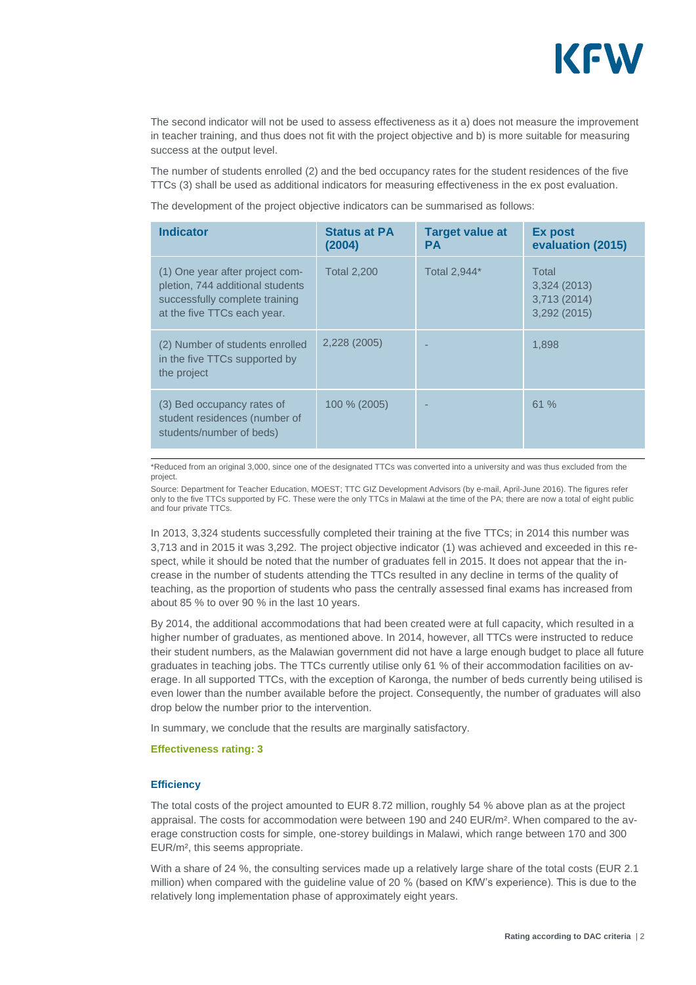

The second indicator will not be used to assess effectiveness as it a) does not measure the improvement in teacher training, and thus does not fit with the project objective and b) is more suitable for measuring success at the output level.

The number of students enrolled (2) and the bed occupancy rates for the student residences of the five TTCs (3) shall be used as additional indicators for measuring effectiveness in the ex post evaluation.

The development of the project objective indicators can be summarised as follows:

| <b>Indicator</b>                                                                                                                     | <b>Status at PA</b><br>(2004) | <b>Target value at</b><br><b>PA</b> | Ex post<br>evaluation (2015)                        |
|--------------------------------------------------------------------------------------------------------------------------------------|-------------------------------|-------------------------------------|-----------------------------------------------------|
| (1) One year after project com-<br>pletion, 744 additional students<br>successfully complete training<br>at the five TTCs each year. | <b>Total 2,200</b>            | Total 2,944*                        | Total<br>3,324(2013)<br>3,713 (2014)<br>3,292(2015) |
| (2) Number of students enrolled<br>in the five TTCs supported by<br>the project                                                      | 2,228 (2005)                  |                                     | 1.898                                               |
| (3) Bed occupancy rates of<br>student residences (number of<br>students/number of beds)                                              | 100 % (2005)                  |                                     | 61%                                                 |

\*Reduced from an original 3,000, since one of the designated TTCs was converted into a university and was thus excluded from the project.

Source: Department for Teacher Education, MOEST; TTC GIZ Development Advisors (by e-mail, April-June 2016). The figures refer only to the five TTCs supported by FC. These were the only TTCs in Malawi at the time of the PA; there are now a total of eight public and four private TTCs.

In 2013, 3,324 students successfully completed their training at the five TTCs; in 2014 this number was 3,713 and in 2015 it was 3,292. The project objective indicator (1) was achieved and exceeded in this respect, while it should be noted that the number of graduates fell in 2015. It does not appear that the increase in the number of students attending the TTCs resulted in any decline in terms of the quality of teaching, as the proportion of students who pass the centrally assessed final exams has increased from about 85 % to over 90 % in the last 10 years.

By 2014, the additional accommodations that had been created were at full capacity, which resulted in a higher number of graduates, as mentioned above. In 2014, however, all TTCs were instructed to reduce their student numbers, as the Malawian government did not have a large enough budget to place all future graduates in teaching jobs. The TTCs currently utilise only 61 % of their accommodation facilities on average. In all supported TTCs, with the exception of Karonga, the number of beds currently being utilised is even lower than the number available before the project. Consequently, the number of graduates will also drop below the number prior to the intervention.

In summary, we conclude that the results are marginally satisfactory.

#### **Effectiveness rating: 3**

#### **Efficiency**

The total costs of the project amounted to EUR 8.72 million, roughly 54 % above plan as at the project appraisal. The costs for accommodation were between 190 and 240 EUR/m². When compared to the average construction costs for simple, one-storey buildings in Malawi, which range between 170 and 300 EUR/m², this seems appropriate.

With a share of 24 %, the consulting services made up a relatively large share of the total costs (EUR 2.1) million) when compared with the guideline value of 20 % (based on KfW's experience). This is due to the relatively long implementation phase of approximately eight years.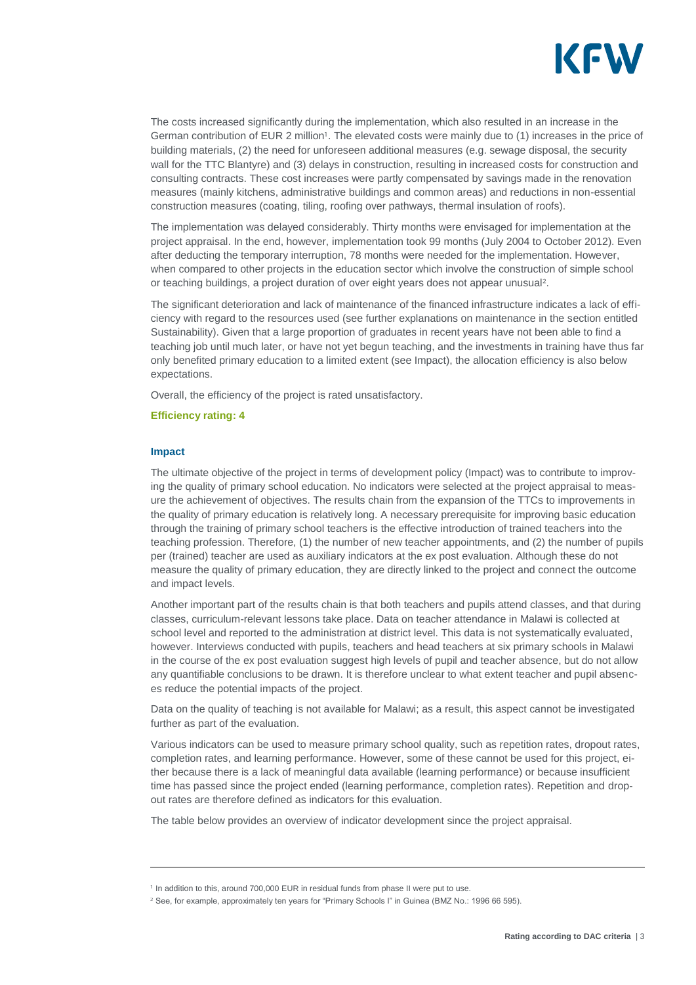

The costs increased significantly during the implementation, which also resulted in an increase in the German contribution of EUR 2 million<sup>1</sup>. The elevated costs were mainly due to (1) increases in the price of building materials, (2) the need for unforeseen additional measures (e.g. sewage disposal, the security wall for the TTC Blantyre) and (3) delays in construction, resulting in increased costs for construction and consulting contracts. These cost increases were partly compensated by savings made in the renovation measures (mainly kitchens, administrative buildings and common areas) and reductions in non-essential construction measures (coating, tiling, roofing over pathways, thermal insulation of roofs).

The implementation was delayed considerably. Thirty months were envisaged for implementation at the project appraisal. In the end, however, implementation took 99 months (July 2004 to October 2012). Even after deducting the temporary interruption, 78 months were needed for the implementation. However, when compared to other projects in the education sector which involve the construction of simple school or teaching buildings, a project duration of over eight years does not appear unusual<sup>2</sup>.

The significant deterioration and lack of maintenance of the financed infrastructure indicates a lack of efficiency with regard to the resources used (see further explanations on maintenance in the section entitled Sustainability). Given that a large proportion of graduates in recent years have not been able to find a teaching job until much later, or have not yet begun teaching, and the investments in training have thus far only benefited primary education to a limited extent (see Impact), the allocation efficiency is also below expectations.

Overall, the efficiency of the project is rated unsatisfactory.

#### **Efficiency rating: 4**

#### **Impact**

The ultimate objective of the project in terms of development policy (Impact) was to contribute to improving the quality of primary school education. No indicators were selected at the project appraisal to measure the achievement of objectives. The results chain from the expansion of the TTCs to improvements in the quality of primary education is relatively long. A necessary prerequisite for improving basic education through the training of primary school teachers is the effective introduction of trained teachers into the teaching profession. Therefore, (1) the number of new teacher appointments, and (2) the number of pupils per (trained) teacher are used as auxiliary indicators at the ex post evaluation. Although these do not measure the quality of primary education, they are directly linked to the project and connect the outcome and impact levels.

Another important part of the results chain is that both teachers and pupils attend classes, and that during classes, curriculum-relevant lessons take place. Data on teacher attendance in Malawi is collected at school level and reported to the administration at district level. This data is not systematically evaluated, however. Interviews conducted with pupils, teachers and head teachers at six primary schools in Malawi in the course of the ex post evaluation suggest high levels of pupil and teacher absence, but do not allow any quantifiable conclusions to be drawn. It is therefore unclear to what extent teacher and pupil absences reduce the potential impacts of the project.

Data on the quality of teaching is not available for Malawi; as a result, this aspect cannot be investigated further as part of the evaluation.

Various indicators can be used to measure primary school quality, such as repetition rates, dropout rates, completion rates, and learning performance. However, some of these cannot be used for this project, either because there is a lack of meaningful data available (learning performance) or because insufficient time has passed since the project ended (learning performance, completion rates). Repetition and dropout rates are therefore defined as indicators for this evaluation.

The table below provides an overview of indicator development since the project appraisal.

<sup>&</sup>lt;sup>1</sup> In addition to this, around 700,000 EUR in residual funds from phase II were put to use.

<sup>&</sup>lt;sup>2</sup> See, for example, approximately ten years for "Primary Schools I" in Guinea (BMZ No.: 1996 66 595).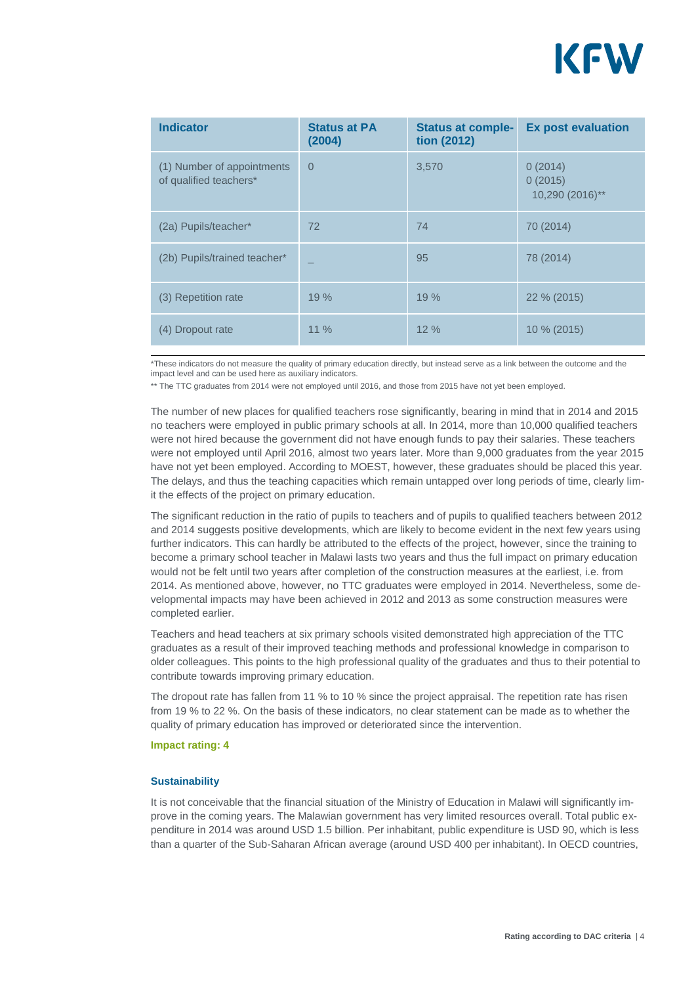

| <b>Indicator</b>                                     | <b>Status at PA</b><br>(2004) | <b>Status at comple-</b><br>tion (2012) | <b>Ex post evaluation</b>             |
|------------------------------------------------------|-------------------------------|-----------------------------------------|---------------------------------------|
| (1) Number of appointments<br>of qualified teachers* | $\Omega$                      | 3,570                                   | 0(2014)<br>0(2015)<br>10,290 (2016)** |
| (2a) Pupils/teacher*                                 | 72                            | 74                                      | 70 (2014)                             |
| (2b) Pupils/trained teacher*                         |                               | 95                                      | 78 (2014)                             |
| (3) Repetition rate                                  | 19 %                          | 19%                                     | 22 % (2015)                           |
| (4) Dropout rate                                     | $11\%$                        | 12%                                     | 10 % (2015)                           |

\*These indicators do not measure the quality of primary education directly, but instead serve as a link between the outcome and the impact level and can be used here as auxiliary indicators.

\*\* The TTC graduates from 2014 were not employed until 2016, and those from 2015 have not yet been employed.

The number of new places for qualified teachers rose significantly, bearing in mind that in 2014 and 2015 no teachers were employed in public primary schools at all. In 2014, more than 10,000 qualified teachers were not hired because the government did not have enough funds to pay their salaries. These teachers were not employed until April 2016, almost two years later. More than 9,000 graduates from the year 2015 have not yet been employed. According to MOEST, however, these graduates should be placed this year. The delays, and thus the teaching capacities which remain untapped over long periods of time, clearly limit the effects of the project on primary education.

The significant reduction in the ratio of pupils to teachers and of pupils to qualified teachers between 2012 and 2014 suggests positive developments, which are likely to become evident in the next few years using further indicators. This can hardly be attributed to the effects of the project, however, since the training to become a primary school teacher in Malawi lasts two years and thus the full impact on primary education would not be felt until two years after completion of the construction measures at the earliest, i.e. from 2014. As mentioned above, however, no TTC graduates were employed in 2014. Nevertheless, some developmental impacts may have been achieved in 2012 and 2013 as some construction measures were completed earlier.

Teachers and head teachers at six primary schools visited demonstrated high appreciation of the TTC graduates as a result of their improved teaching methods and professional knowledge in comparison to older colleagues. This points to the high professional quality of the graduates and thus to their potential to contribute towards improving primary education.

The dropout rate has fallen from 11 % to 10 % since the project appraisal. The repetition rate has risen from 19 % to 22 %. On the basis of these indicators, no clear statement can be made as to whether the quality of primary education has improved or deteriorated since the intervention.

#### **Impact rating: 4**

#### **Sustainability**

It is not conceivable that the financial situation of the Ministry of Education in Malawi will significantly improve in the coming years. The Malawian government has very limited resources overall. Total public expenditure in 2014 was around USD 1.5 billion. Per inhabitant, public expenditure is USD 90, which is less than a quarter of the Sub-Saharan African average (around USD 400 per inhabitant). In OECD countries,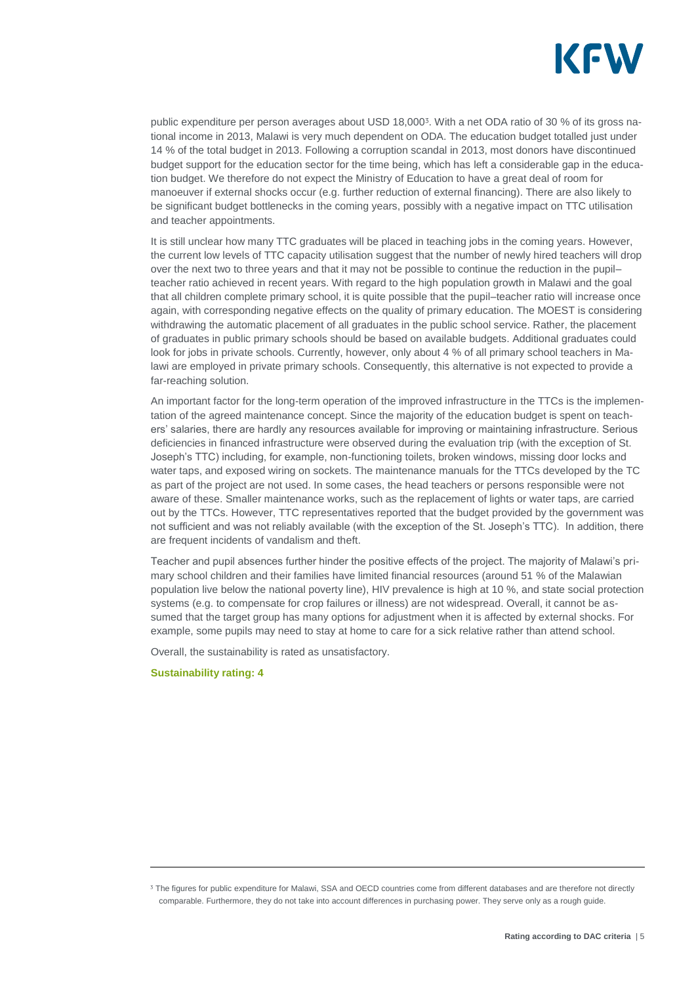

public expenditure per person averages about USD 18,000<sup>3</sup>. With a net ODA ratio of 30 % of its gross national income in 2013, Malawi is very much dependent on ODA. The education budget totalled just under 14 % of the total budget in 2013. Following a corruption scandal in 2013, most donors have discontinued budget support for the education sector for the time being, which has left a considerable gap in the education budget. We therefore do not expect the Ministry of Education to have a great deal of room for manoeuver if external shocks occur (e.g. further reduction of external financing). There are also likely to be significant budget bottlenecks in the coming years, possibly with a negative impact on TTC utilisation and teacher appointments.

It is still unclear how many TTC graduates will be placed in teaching jobs in the coming years. However, the current low levels of TTC capacity utilisation suggest that the number of newly hired teachers will drop over the next two to three years and that it may not be possible to continue the reduction in the pupil– teacher ratio achieved in recent years. With regard to the high population growth in Malawi and the goal that all children complete primary school, it is quite possible that the pupil–teacher ratio will increase once again, with corresponding negative effects on the quality of primary education. The MOEST is considering withdrawing the automatic placement of all graduates in the public school service. Rather, the placement of graduates in public primary schools should be based on available budgets. Additional graduates could look for jobs in private schools. Currently, however, only about 4 % of all primary school teachers in Malawi are employed in private primary schools. Consequently, this alternative is not expected to provide a far-reaching solution.

An important factor for the long-term operation of the improved infrastructure in the TTCs is the implementation of the agreed maintenance concept. Since the majority of the education budget is spent on teachers' salaries, there are hardly any resources available for improving or maintaining infrastructure. Serious deficiencies in financed infrastructure were observed during the evaluation trip (with the exception of St. Joseph's TTC) including, for example, non-functioning toilets, broken windows, missing door locks and water taps, and exposed wiring on sockets. The maintenance manuals for the TTCs developed by the TC as part of the project are not used. In some cases, the head teachers or persons responsible were not aware of these. Smaller maintenance works, such as the replacement of lights or water taps, are carried out by the TTCs. However, TTC representatives reported that the budget provided by the government was not sufficient and was not reliably available (with the exception of the St. Joseph's TTC). In addition, there are frequent incidents of vandalism and theft.

Teacher and pupil absences further hinder the positive effects of the project. The majority of Malawi's primary school children and their families have limited financial resources (around 51 % of the Malawian population live below the national poverty line), HIV prevalence is high at 10 %, and state social protection systems (e.g. to compensate for crop failures or illness) are not widespread. Overall, it cannot be assumed that the target group has many options for adjustment when it is affected by external shocks. For example, some pupils may need to stay at home to care for a sick relative rather than attend school.

Overall, the sustainability is rated as unsatisfactory.

#### **Sustainability rating: 4**

<sup>&</sup>lt;sup>3</sup> The figures for public expenditure for Malawi, SSA and OECD countries come from different databases and are therefore not directly comparable. Furthermore, they do not take into account differences in purchasing power. They serve only as a rough guide.